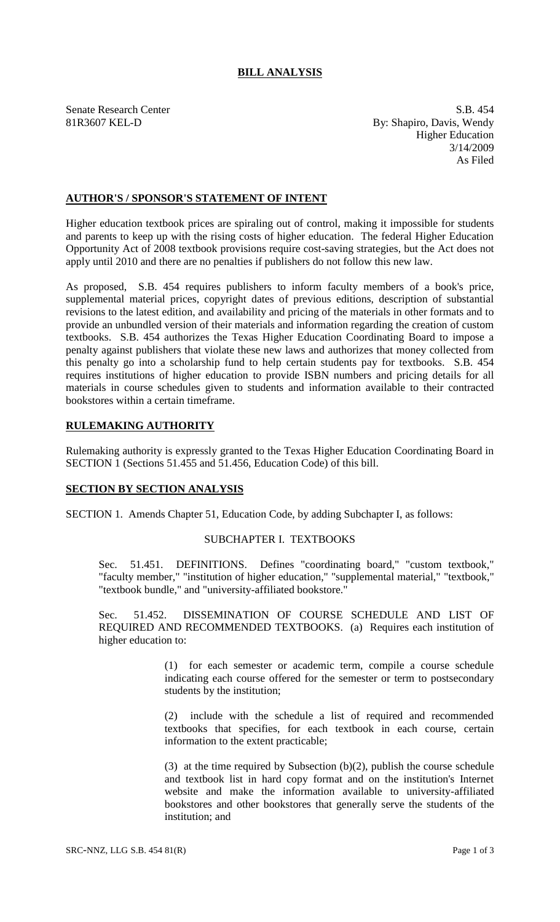# **BILL ANALYSIS**

Senate Research Center S.B. 454 81R3607 KEL-D By: Shapiro, Davis, Wendy Higher Education 3/14/2009 As Filed

# **AUTHOR'S / SPONSOR'S STATEMENT OF INTENT**

Higher education textbook prices are spiraling out of control, making it impossible for students and parents to keep up with the rising costs of higher education. The federal Higher Education Opportunity Act of 2008 textbook provisions require cost-saving strategies, but the Act does not apply until 2010 and there are no penalties if publishers do not follow this new law.

As proposed, S.B. 454 requires publishers to inform faculty members of a book's price, supplemental material prices, copyright dates of previous editions, description of substantial revisions to the latest edition, and availability and pricing of the materials in other formats and to provide an unbundled version of their materials and information regarding the creation of custom textbooks. S.B. 454 authorizes the Texas Higher Education Coordinating Board to impose a penalty against publishers that violate these new laws and authorizes that money collected from this penalty go into a scholarship fund to help certain students pay for textbooks. S.B. 454 requires institutions of higher education to provide ISBN numbers and pricing details for all materials in course schedules given to students and information available to their contracted bookstores within a certain timeframe.

#### **RULEMAKING AUTHORITY**

Rulemaking authority is expressly granted to the Texas Higher Education Coordinating Board in SECTION 1 (Sections 51.455 and 51.456, Education Code) of this bill.

#### **SECTION BY SECTION ANALYSIS**

SECTION 1. Amends Chapter 51, Education Code, by adding Subchapter I, as follows:

# SUBCHAPTER I. TEXTBOOKS

Sec. 51.451. DEFINITIONS. Defines "coordinating board," "custom textbook," "faculty member," "institution of higher education," "supplemental material," "textbook," "textbook bundle," and "university-affiliated bookstore."

Sec. 51.452. DISSEMINATION OF COURSE SCHEDULE AND LIST OF REQUIRED AND RECOMMENDED TEXTBOOKS. (a) Requires each institution of higher education to:

> (1) for each semester or academic term, compile a course schedule indicating each course offered for the semester or term to postsecondary students by the institution;

> (2) include with the schedule a list of required and recommended textbooks that specifies, for each textbook in each course, certain information to the extent practicable;

> (3) at the time required by Subsection (b)(2), publish the course schedule and textbook list in hard copy format and on the institution's Internet website and make the information available to university-affiliated bookstores and other bookstores that generally serve the students of the institution; and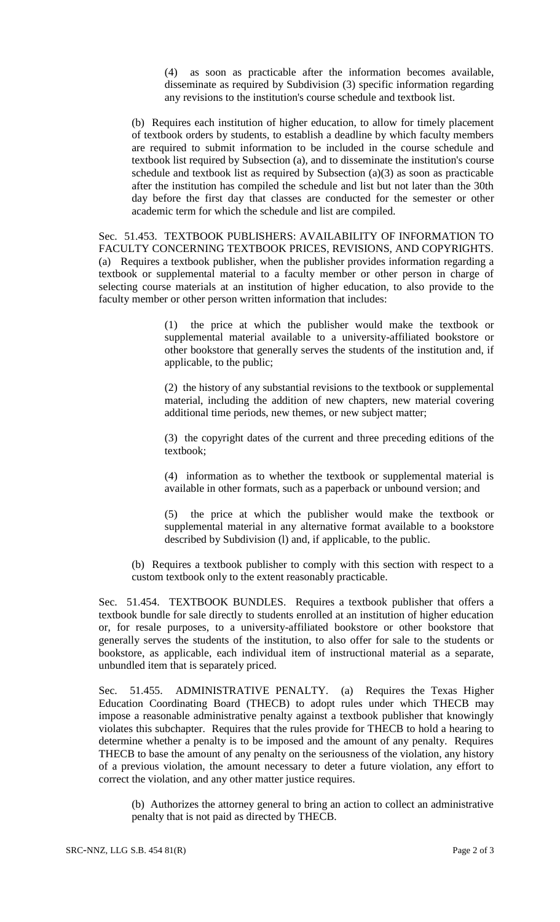(4) as soon as practicable after the information becomes available, disseminate as required by Subdivision (3) specific information regarding any revisions to the institution's course schedule and textbook list.

(b) Requires each institution of higher education, to allow for timely placement of textbook orders by students, to establish a deadline by which faculty members are required to submit information to be included in the course schedule and textbook list required by Subsection (a), and to disseminate the institution's course schedule and textbook list as required by Subsection (a)(3) as soon as practicable after the institution has compiled the schedule and list but not later than the 30th day before the first day that classes are conducted for the semester or other academic term for which the schedule and list are compiled.

Sec. 51.453. TEXTBOOK PUBLISHERS: AVAILABILITY OF INFORMATION TO FACULTY CONCERNING TEXTBOOK PRICES, REVISIONS, AND COPYRIGHTS. (a) Requires a textbook publisher, when the publisher provides information regarding a textbook or supplemental material to a faculty member or other person in charge of selecting course materials at an institution of higher education, to also provide to the faculty member or other person written information that includes:

> (1) the price at which the publisher would make the textbook or supplemental material available to a university-affiliated bookstore or other bookstore that generally serves the students of the institution and, if applicable, to the public;

> (2) the history of any substantial revisions to the textbook or supplemental material, including the addition of new chapters, new material covering additional time periods, new themes, or new subject matter;

> (3) the copyright dates of the current and three preceding editions of the textbook;

> (4) information as to whether the textbook or supplemental material is available in other formats, such as a paperback or unbound version; and

> (5) the price at which the publisher would make the textbook or supplemental material in any alternative format available to a bookstore described by Subdivision (l) and, if applicable, to the public.

(b) Requires a textbook publisher to comply with this section with respect to a custom textbook only to the extent reasonably practicable.

Sec. 51.454. TEXTBOOK BUNDLES. Requires a textbook publisher that offers a textbook bundle for sale directly to students enrolled at an institution of higher education or, for resale purposes, to a university-affiliated bookstore or other bookstore that generally serves the students of the institution, to also offer for sale to the students or bookstore, as applicable, each individual item of instructional material as a separate, unbundled item that is separately priced.

Sec. 51.455. ADMINISTRATIVE PENALTY. (a) Requires the Texas Higher Education Coordinating Board (THECB) to adopt rules under which THECB may impose a reasonable administrative penalty against a textbook publisher that knowingly violates this subchapter. Requires that the rules provide for THECB to hold a hearing to determine whether a penalty is to be imposed and the amount of any penalty. Requires THECB to base the amount of any penalty on the seriousness of the violation, any history of a previous violation, the amount necessary to deter a future violation, any effort to correct the violation, and any other matter justice requires.

(b) Authorizes the attorney general to bring an action to collect an administrative penalty that is not paid as directed by THECB.